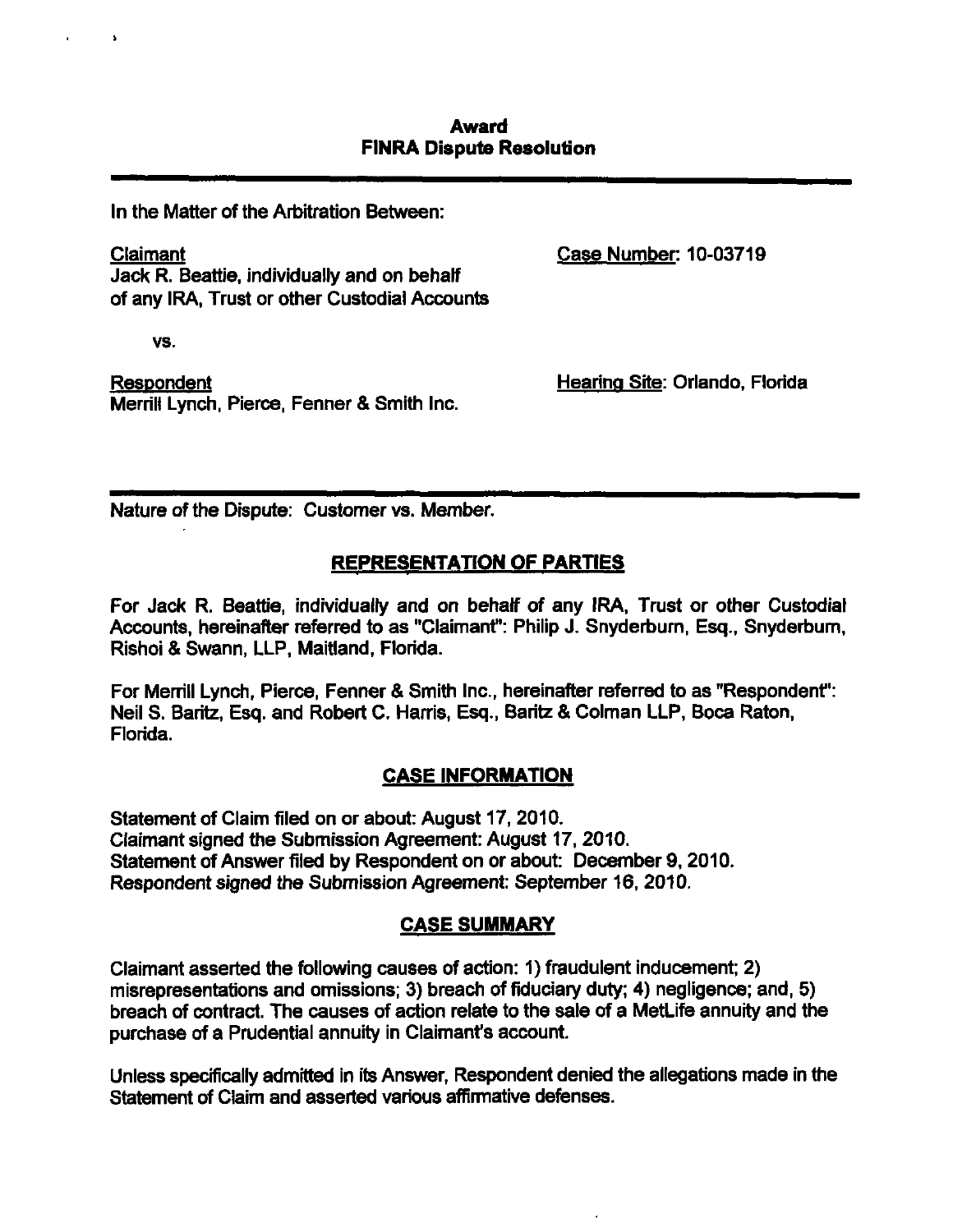## **Award FiNRA Dispute Resolution**

In the Matter of the Arbitration Between:

Claimant Case Number: 10-03719 Jack R. Beattie, individually and on behalf of any IRA, Trust or other Custodial Accounte

vs.

Respondent **Hearing Site: Orlando, Florida** Merrill Lynch, Pierce, Fenner & Smith Inc.

Nature of the Dispute: Customer vs. Member.

# **REPRESENTATION OF PARTIES**

For Jack R. Beattie, individually and on behalf of any IRA, Trust or other Custodial Accounts, hereinafter referred to as "Claimant": Philip J. Snyderburn, Esq., Snyderburn, Rishoi & Swann, LLP, Maitland, Florida.

For Merrill Lynch, Pierce, Fenner & Smith Inc., hereinafter referred to as "Respondent": Neil S. Baritz, Esq. and Robert C. Harris, Esq., Baritz & Colman LLP, Boca Raton, Florida.

#### **CASE INFORMATION**

Statement of Claim filed on or about: August 17, 2010. Claimant signed the Submission Agreement: August 17, 2010. Statement of Answer filed by Respondent on or about: December 9, 2010. Respondent signed the Submission Agreement: September 16, 2010.

# **CASE SUMMARY**

Claimant asserted the following causes of action: 1) fraudulent inducement; 2) misrepresentations and omissions; 3) breach of fiduciary duty; 4) negligence; and, 5) breach of contract. The causes of action relate to the sale of a MetLife annuity and the purchase of a Prudential annuity in Claimant's account.

Unless specifically admitted in its Answer, Respondent denied the allegations made in the Statement of Claim and asserted various affirmative defenses.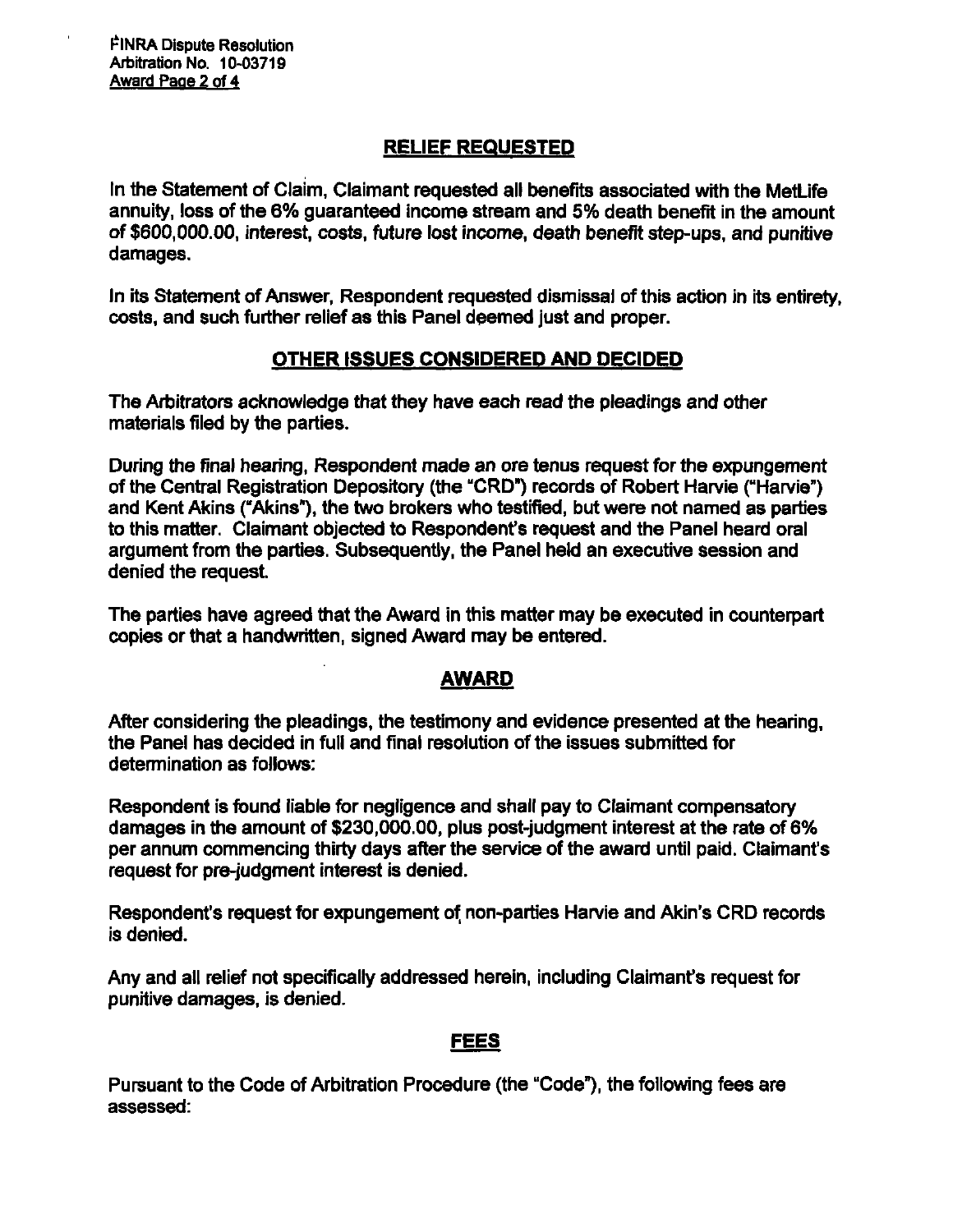FINRA Dispute Resolution Arbitration No. 10-03719 Award Pace 2 of 4

# **RELIEF REQUESTED**

In the Statement of Claim, Claimant requested all benefits associated with the MetLife annuity, loss of the 6% guaranteed income stream and 5% death benefit in the amount of \$600,000.00, interest, coste. future lost income, death benefit step-ups, and punitive damages.

In its Statement of Answer, Respondent requested dismissal of this action in its entirety, costs, and such further relief as this Panel deemed just and proper.

# **OTHER ISSUES CONSIDERED AND DECIDED**

The Arbitrators acknowledge that they have each read the pleadings and other materials filed by the parties.

During the final hearing, Respondent made an ore tenus request for the expungement of the Central Registration Depository (the "CRD") records of Robert Harvie ("Harvie") and Kent Akins ("Akins"), the two brokers who testified, but were not named as parties to this matter. Claimant objected to Respondent's request and the Panel heard oral argument from the parties. Subsequently, the Panel held an executive session and denied the request.

The parties have agreed that the Award in this matter may be executed in counterpart copies or that a handwritten, signed Award may be entered.

# **AWARD**

After considering the pleadings, the testimony and evidence presented at the hearing, the Panel has decided in full and final resolution of the issues submitted for determination as follows:

Respondent is found liable for negligence and shall pay to Claimant compensatory damages in the amount of \$230,000.00, plus post-judgment interest at the rate of 6% per annum commencing thirty days after the service of the award until paid. Claimant's request for pre-judgment interest is denied.

Respondent's request for expungement of, non-parties Harvie and Akin's CRD records is denied.

Any and all relief not specifically addressed herein, including Claimant's request for punitive damages, is denied.

#### **FEES**

Pursuant to the Code of Arbitration Procedure (the "Code"), the following fees are assessed: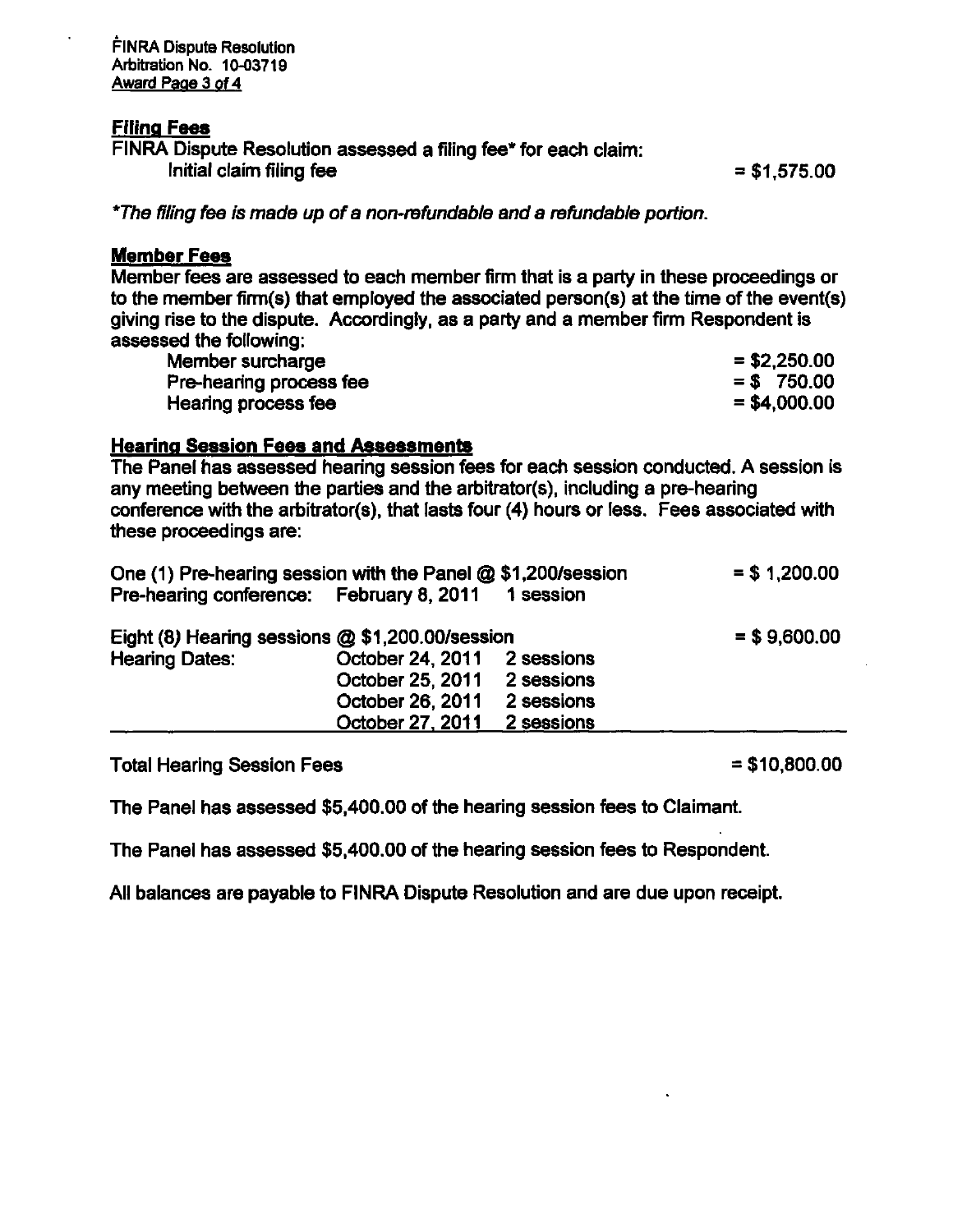FINRA Dispute Resolution Arbitration No. 10-03719 Award Page 3 of 4

# **Filing Fees**

FINRA Dispute Resolution assessed a filing fee\* for each claim: Initial claim filing fee  $= $1,575.00$ 

\*Ttie filing fee is made up of a non-refundable and a refundable portion.

#### **Member Fees**

Member fees are assessed to each member firm that is a party in these proceedings or to the member firm(s) that employed the associated person(s) at the time of the event(s) giving rise to the dispute. Accordingly, as a party and a member firm Respondent is assessed the following:

| Member surcharge        | $= $2,250.00$ |
|-------------------------|---------------|
| Pre-hearing process fee | $=$ \$750.00  |
| Hearing process fee     | $= $4,000.00$ |

#### **Hearing Session Fees and Assessmente**

The Panel has assessed hearing session fees for each session conducted. A session is any meeting between the parties and the arbitrator(s), including a pre-hearing conference with the arbitrator(s), that laste four (4) hours or less. Fees associated with these proceedings are:

| One (1) Pre-hearing session with the Panel @ \$1,200/session<br>Pre-hearing conference: February 8, 2011 1 session |                                                                     |                          | $= $1,200.00$ |
|--------------------------------------------------------------------------------------------------------------------|---------------------------------------------------------------------|--------------------------|---------------|
| Eight (8) Hearing sessions @ \$1,200.00/session<br><b>Hearing Dates:</b>                                           | October 24, 2011 2 sessions<br>October 25, 2011<br>October 26, 2011 | 2 sessions<br>2 sessions | $= $9,600.00$ |
|                                                                                                                    | October 27, 2011                                                    | 2 sessions               |               |

Total Hearing Session Fees  $= $10,800.00$ 

The Panel has assessed \$5,400.00 of the hearing session fees to Claimant.

The Panel has assessed \$5,400.00 of the hearing session fees to Respondent.

All balances are payable to FINRA Dispute Resolution and are due upon receipt.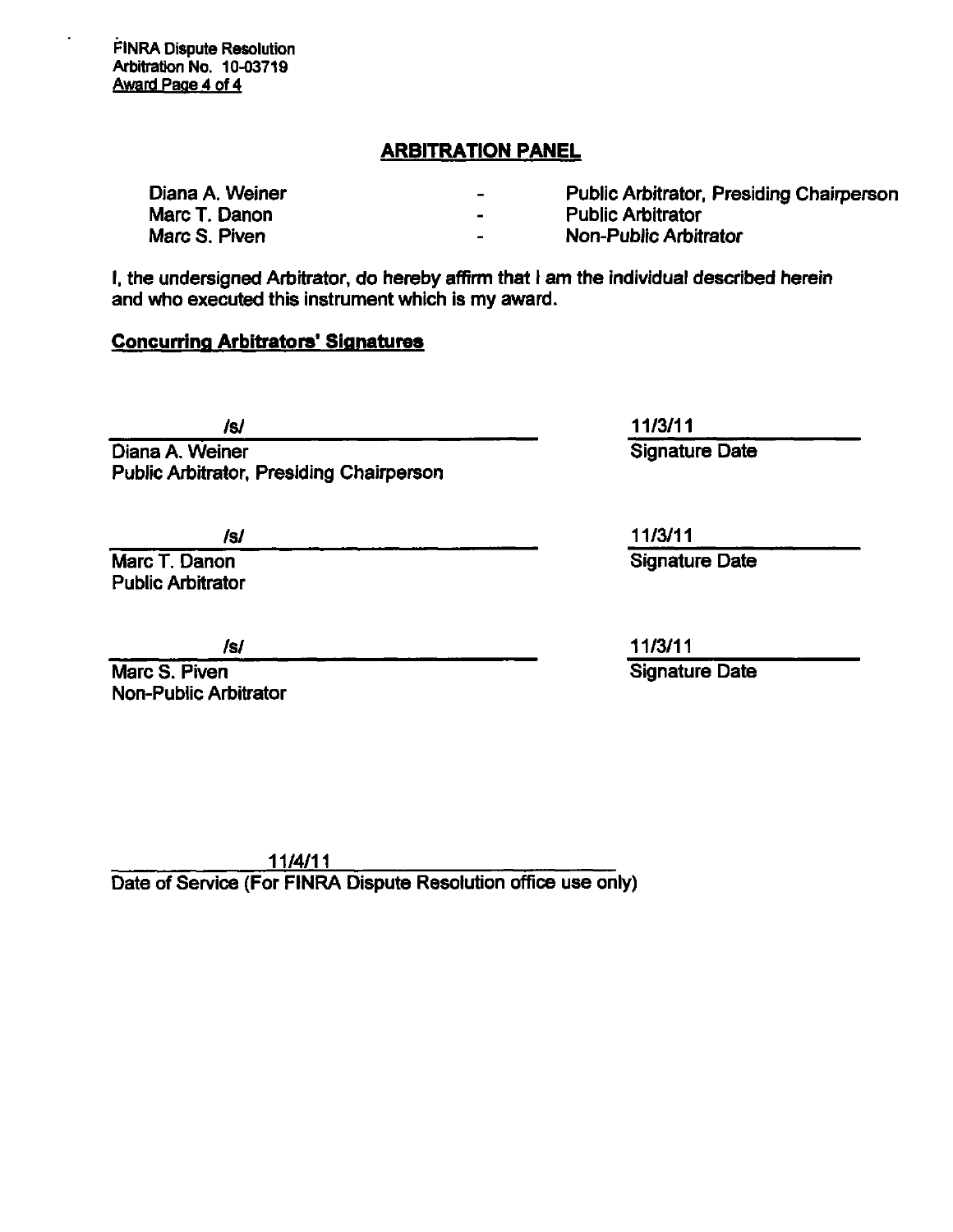FINRA Dispute Resolution Arbitration No. 10-03719 Award Page 4 of 4

# **ARBITRATION PANEL**

| Diana A. Weiner | $\rightarrow$            | <b>Public Arbitrator, Presiding Chairperson</b> |
|-----------------|--------------------------|-------------------------------------------------|
| Marc T. Danon   | $\overline{\phantom{0}}$ | <b>Public Arbitrator</b>                        |
| Marc S. Piven   | $\sim$                   | <b>Non-Public Arbitrator</b>                    |

I, the undersigned Arbitrator, do hereby affirm that I am the individual described herein and who executed this instrument which is my award.

# **Concurring Arbitrators' Signatures**

Diana A. Weiner Public Arbitrator, Presiding Chairperson

Marc T. Danon Public Arbitrator

Marc S. Piven Non-Public Arbitrator

/s/ 11/3/11 Signature Date

is/ 11/3/11 Signature Date

/s/ 11/3/11 Signature Date

11/4/11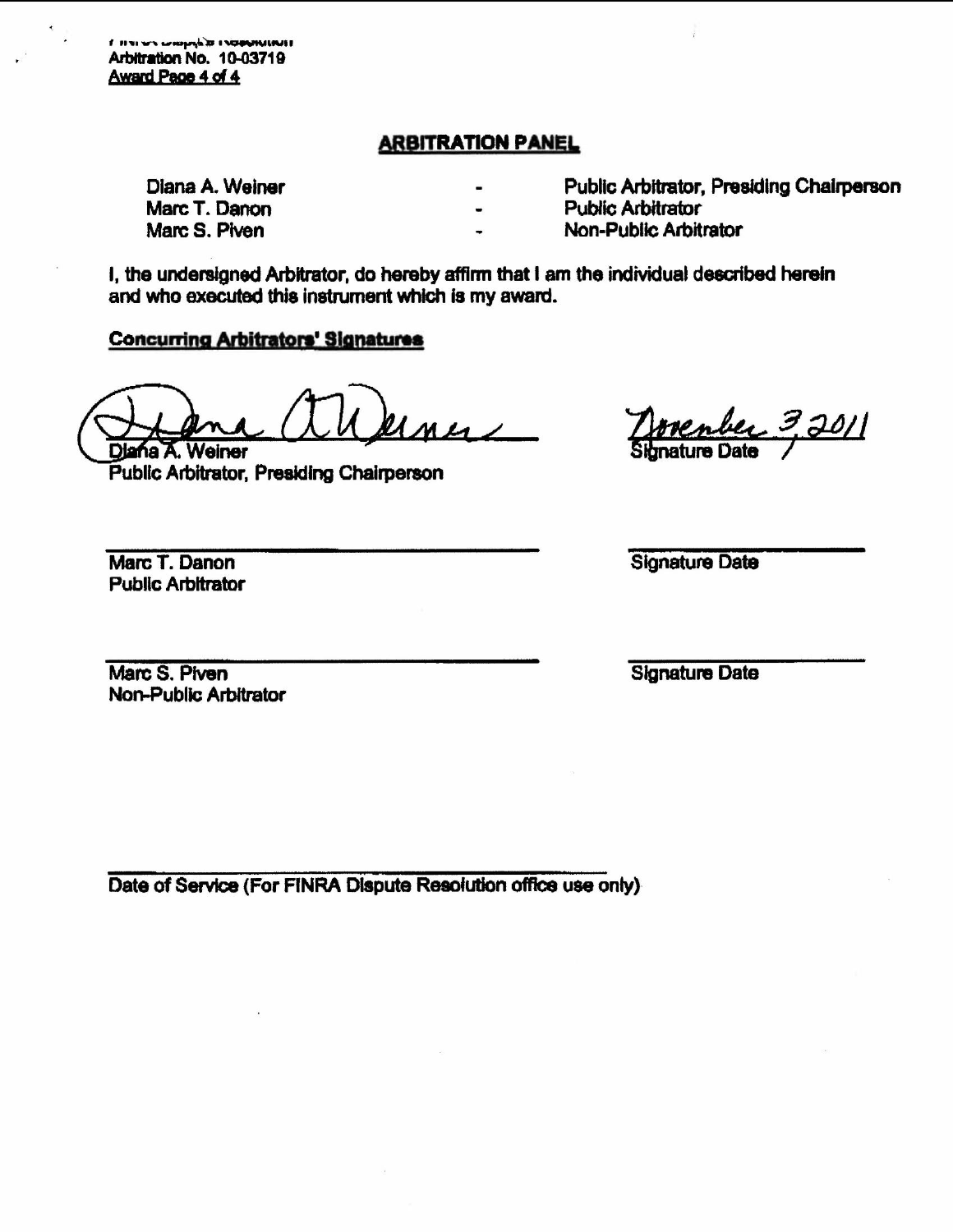**FIRE WARRANT OF A GRANITE TO THE T** Arbitration No. 10-03719 Award Page 4 of 4

# **ARBITRATION PANEL**

Diana A. Weiner Marc T. Danon Marc S. Piven

Public Arbitrator, Presiding Chairperson

- **Public Arbitrator**
- Non-Public Arbitrator

I, the undersigned Arbitrator, do hereby affirm that I am the individual described herein and who executed this instrument which is my award.

#### **Concurring Arbitrators' Signatures**

 $u_{max}$ Diana A. Weiner

Public Arbitrator, Presiding Chairperson

Marc T. Danon **Public Arbitrator** 

enber 3,2011<br>uroDato

**Signature Date** 

Marc S. Piven Non-Public Arbitrator **Signature Date**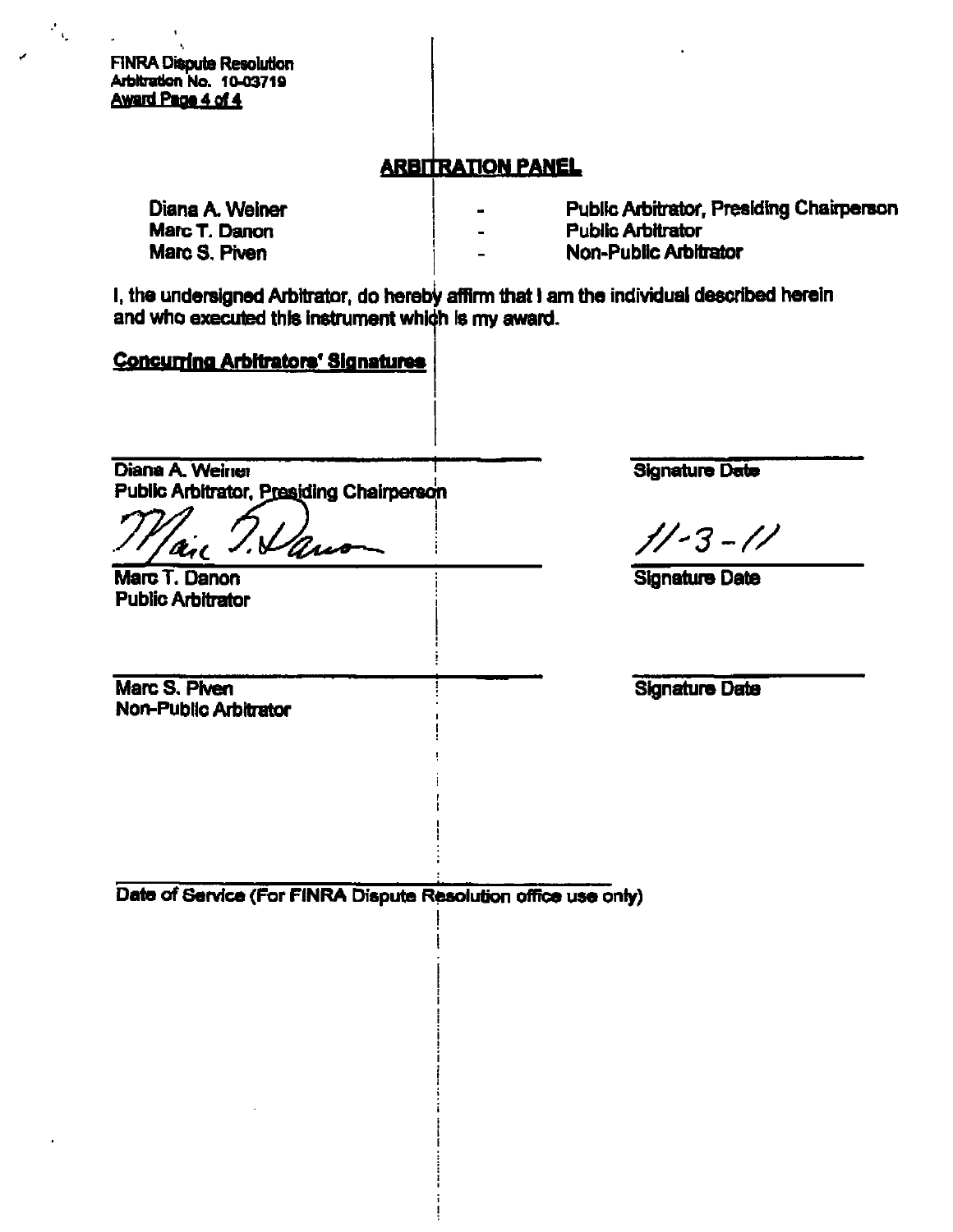**FINRA Dispute Resolution** Arbitration No. 10-03719 Award Page 4 of 4

 $\mathcal{F}_{\mathcal{Q}}$ 

# **ARBITRATION PANEL**

| Diana A. Weiner | $\blacksquare$           | <b>Public Arbitrator, Presiding Chairperson</b> |
|-----------------|--------------------------|-------------------------------------------------|
| Marc T. Danon   | $\blacksquare$           | <b>Public Arbitrator</b>                        |
| Marc S. Piven   | $\overline{\phantom{0}}$ | <b>Non-Public Arbitrator</b>                    |

I, the undersigned Arbitrator, do hereby affirm that I am the individual described herein and who executed this instrument which is my award.

# Concurring Arbitrators' Signatures

Diana A. Weiner Public Arbitrator, Presiding Chairperson

I. Vans

Marc T. Danon **Public Arbitrator** 

Marc S. Piven Non-Public Arbitrator **Signature Date** 

 $1/-3-1/$ 

**Signature Date** 

**Signature Date**